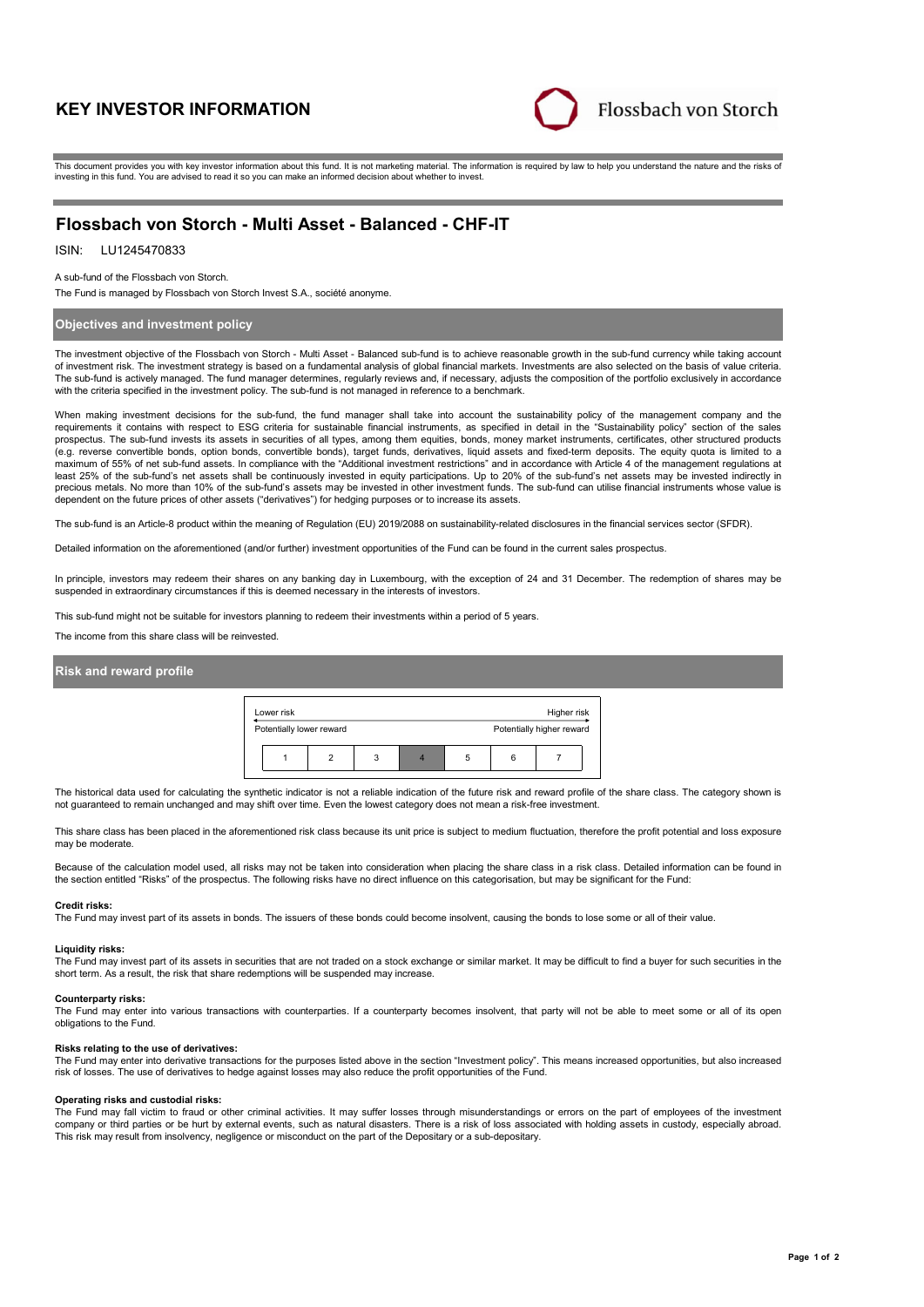# **KEY INVESTOR INFORMATION**



This document provides you with key investor information about this fund. It is not marketing material. The information is required by law to help you understand the nature and the risks of investing in this fund. You are advised to read it so you can make an informed decision about whether to invest.

# **Flossbach von Storch - Multi Asset - Balanced - CHF-IT**

# ISIN: LU1245470833

### A sub-fund of the Flossbach von Storch.

The Fund is managed by Flossbach von Storch Invest S.A., société anonyme.

## **Objectives and investment policy**

The investment objective of the Flossbach von Storch - Multi Asset - Balanced sub-fund is to achieve reasonable growth in the sub-fund currency while taking account of investment risk. The investment strategy is based on a fundamental analysis of global financial markets. Investments are also selected on the basis of value criteria. The sub-fund is actively managed. The fund manager determines, regularly reviews and, if necessary, adjusts the composition of the portfolio exclusively in accordance with the criteria specified in the investment policy. The sub-fund is not managed in reference to a benchmark.

When making investment decisions for the sub-fund, the fund manager shall take into account the sustainability policy of the management company and the requirements it contains with respect to ESG criteria for sustainable financial instruments, as specified in detail in the "Sustainability policy" section of the sales prospectus. The sub-fund invests its assets in securities of all types, among them equities, bonds, money market instruments, certificates, other structured products (e.g. reverse convertible bonds, option bonds, convertible bonds), target funds, derivatives, liquid assets and fixed-term deposits. The equity quota is limited to a maximum of 55% of net sub-fund assets. In compliance with the "Additional investment restrictions" and in accordance with Article 4 of the management requisitions at the "Additional investment restrictions" and in accordan least 25% of the sub-fund's net assets shall be continuously invested in equity participations. Up to 20% of the sub-fund's net assets may be invested indirectly in precious metals. No more than 10% of the sub-fund's assets may be invested in other investment funds. The sub-fund can utilise financial instruments whose value is dependent on the future prices of other assets ("derivatives") for hedging purposes or to increase its assets.

The sub-fund is an Article-8 product within the meaning of Regulation (EU) 2019/2088 on sustainability-related disclosures in the financial services sector (SFDR).

Detailed information on the aforementioned (and/or further) investment opportunities of the Fund can be found in the current sales prospectus.

In principle, investors may redeem their shares on any banking day in Luxembourg, with the exception of 24 and 31 December. The redemption of shares may be suspended in extraordinary circumstances if this is deemed necessary in the interests of investors.

This sub-fund might not be suitable for investors planning to redeem their investments within a period of 5 years.

The income from this share class will be reinvested.

### **Risk and reward profile**



The historical data used for calculating the synthetic indicator is not a reliable indication of the future risk and reward profile of the share class. The category shown is not guaranteed to remain unchanged and may shift over time. Even the lowest category does not mean a risk-free investment.

This share class has been placed in the aforementioned risk class because its unit price is subject to medium fluctuation, therefore the profit potential and loss exposure may be moderate.

Because of the calculation model used, all risks may not be taken into consideration when placing the share class in a risk class. Detailed information can be found in the section entitled "Risks" of the prospectus. The following risks have no direct influence on this categorisation, but may be significant for the Fund:

### **Credit risks:**

The Fund may invest part of its assets in bonds. The issuers of these bonds could become insolvent, causing the bonds to lose some or all of their value.

### **Liquidity risks:**

The Fund may invest part of its assets in securities that are not traded on a stock exchange or similar market. It may be difficult to find a buyer for such securities in the short term. As a result, the risk that share redemptions will be suspended may increase.

#### **Counterparty risks:**

The Fund may enter into various transactions with counterparties. If a counterparty becomes insolvent, that party will not be able to meet some or all of its open obligations to the Fund.

### **Risks relating to the use of derivatives:**

The Fund may enter into derivative transactions for the purposes listed above in the section "Investment policy". This means increased opportunities, but also increased risk of losses. The use of derivatives to hedge against losses may also reduce the profit opportunities of the Fund.

#### **Operating risks and custodial risks:**

The Fund may fall victim to fraud or other criminal activities. It may suffer losses through misunderstandings or errors on the part of employees of the investment company or third parties or be hurt by external events, such as natural disasters. There is a risk of loss associated with holding assets in custody, especially abroad. This risk may result from insolvency, negligence or misconduct on the part of the Depositary or a sub-depositary.